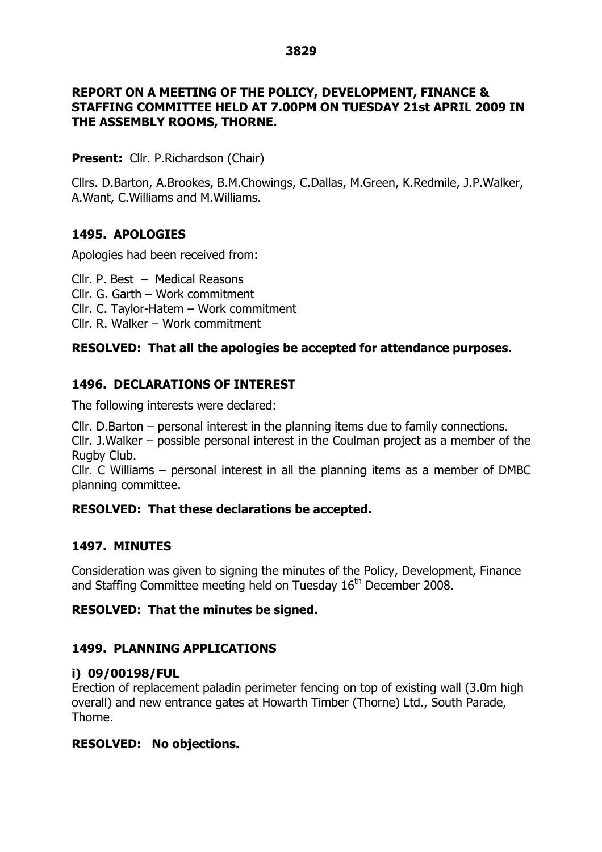# **REPORT ON A MEETING OF THE POLICY, DEVELOPMENT, FINANCE & STAFFING COMMITTEE HELD AT 7.00PM ON TUESDAY 21st APRIL 2009 IN THE ASSEMBLY ROOMS, THORNE.**

**Present:** Cllr. P.Richardson (Chair)

Cllrs. D.Barton, A.Brookes, B.M.Chowings, C.Dallas, M.Green, K.Redmile, J.P.Walker, A.Want, C.Williams and M.Williams.

# **1495. APOLOGIES**

Apologies had been received from:

Cllr. P. Best – Medical Reasons Cllr. G. Garth –Work commitment Cllr. C. Taylor-Hatem –Work commitment Cllr. R. Walker –Work commitment

# **RESOLVED: That all the apologies be accepted for attendance purposes.**

# **1496. DECLARATIONS OF INTEREST**

The following interests were declared:

 $Clr.$  D.Barton – personal interest in the planning items due to family connections.

Cllr. J. Walker – possible personal interest in the Coulman project as a member of the Rugby Club.

Cllr. C Williams  $-$  personal interest in all the planning items as a member of DMBC planning committee.

## **RESOLVED: That these declarations be accepted.**

# **1497. MINUTES**

Consideration was given to signing the minutes of the Policy, Development, Finance and Staffing Committee meeting held on Tuesday 16<sup>th</sup> December 2008.

## **RESOLVED: That the minutes be signed.**

# **1499. PLANNING APPLICATIONS**

## **i) 09/00198/FUL**

Erection of replacement paladin perimeter fencing on top of existing wall (3.0m high overall) and new entrance gates at Howarth Timber (Thorne) Ltd., South Parade, Thorne.

# **RESOLVED: No objections.**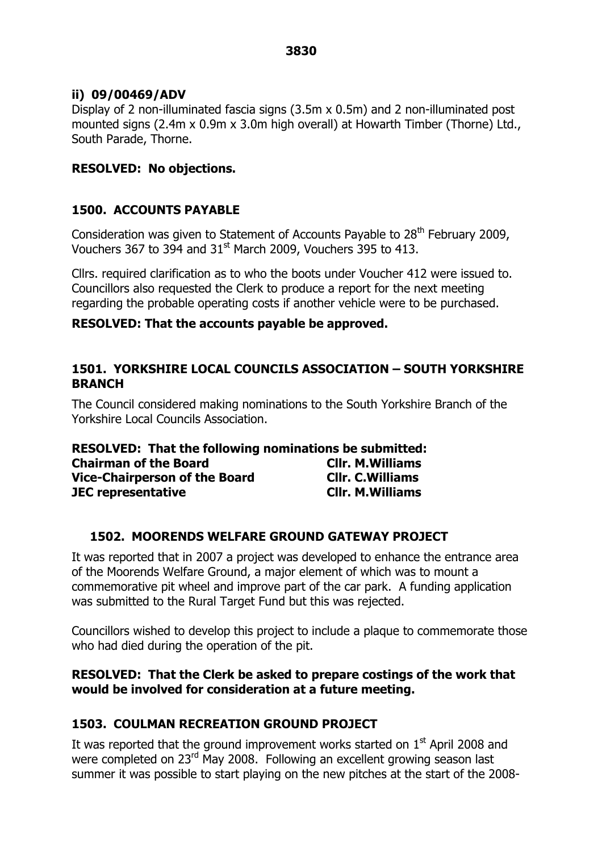## **ii) 09/00469/ADV**

Display of 2 non-illuminated fascia signs (3.5m x 0.5m) and 2 non-illuminated post mounted signs (2.4m x 0.9m x 3.0m high overall) at Howarth Timber (Thorne) Ltd., South Parade, Thorne.

## **RESOLVED: No objections.**

## **1500. ACCOUNTS PAYABLE**

Consideration was given to Statement of Accounts Payable to 28<sup>th</sup> February 2009, Vouchers 367 to 394 and  $31<sup>st</sup>$  March 2009, Vouchers 395 to 413.

Cllrs. required clarification as to who the boots under Voucher 412 were issued to. Councillors also requested the Clerk to produce a report for the next meeting regarding the probable operating costs if another vehicle were to be purchased.

## **RESOLVED: That the accounts payable be approved.**

## **1501. YORKSHIRE LOCAL COUNCILS ASSOCIATION –SOUTH YORKSHIRE BRANCH**

The Council considered making nominations to the South Yorkshire Branch of the Yorkshire Local Councils Association.

| <b>RESOLVED: That the following nominations be submitted:</b> |                          |
|---------------------------------------------------------------|--------------------------|
| <b>Chairman of the Board</b>                                  | <b>CIIr. M. Williams</b> |
| <b>Vice-Chairperson of the Board</b>                          | <b>Cllr. C. Williams</b> |
| <b>JEC</b> representative                                     | <b>CIIr. M. Williams</b> |

# **1502. MOORENDS WELFARE GROUND GATEWAY PROJECT**

It was reported that in 2007 a project was developed to enhance the entrance area of the Moorends Welfare Ground, a major element of which was to mount a commemorative pit wheel and improve part of the car park. A funding application was submitted to the Rural Target Fund but this was rejected.

Councillors wished to develop this project to include a plaque to commemorate those who had died during the operation of the pit.

## **RESOLVED: That the Clerk be asked to prepare costings of the work that would be involved for consideration at a future meeting.**

# **1503. COULMAN RECREATION GROUND PROJECT**

It was reported that the ground improvement works started on  $1<sup>st</sup>$  April 2008 and were completed on 23<sup>rd</sup> May 2008. Following an excellent growing season last summer it was possible to start playing on the new pitches at the start of the 2008